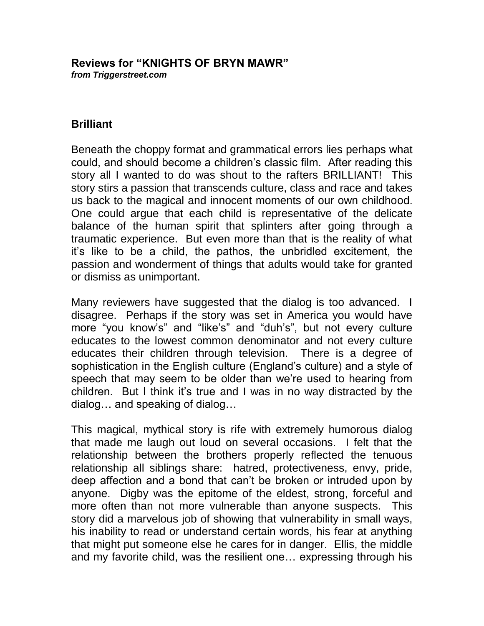#### **Reviews for "KNIGHTS OF BRYN MAWR"** *from Triggerstreet.com*

## **Brilliant**

Beneath the choppy format and grammatical errors lies perhaps what could, and should become a children's classic film. After reading this story all I wanted to do was shout to the rafters BRILLIANT! This story stirs a passion that transcends culture, class and race and takes us back to the magical and innocent moments of our own childhood. One could argue that each child is representative of the delicate balance of the human spirit that splinters after going through a traumatic experience. But even more than that is the reality of what it's like to be a child, the pathos, the unbridled excitement, the passion and wonderment of things that adults would take for granted or dismiss as unimportant.

Many reviewers have suggested that the dialog is too advanced. I disagree. Perhaps if the story was set in America you would have more "you know's" and "like's" and "duh's", but not every culture educates to the lowest common denominator and not every culture educates their children through television. There is a degree of sophistication in the English culture (England's culture) and a style of speech that may seem to be older than we're used to hearing from children. But I think it's true and I was in no way distracted by the dialog… and speaking of dialog…

This magical, mythical story is rife with extremely humorous dialog that made me laugh out loud on several occasions. I felt that the relationship between the brothers properly reflected the tenuous relationship all siblings share: hatred, protectiveness, envy, pride, deep affection and a bond that can't be broken or intruded upon by anyone. Digby was the epitome of the eldest, strong, forceful and more often than not more vulnerable than anyone suspects. This story did a marvelous job of showing that vulnerability in small ways, his inability to read or understand certain words, his fear at anything that might put someone else he cares for in danger. Ellis, the middle and my favorite child, was the resilient one… expressing through his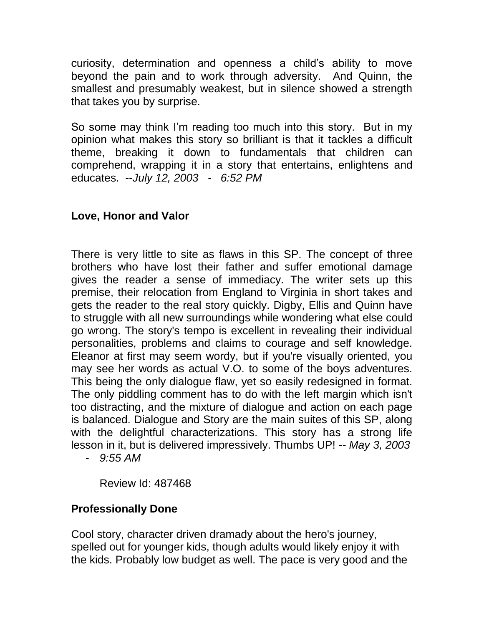curiosity, determination and openness a child's ability to move beyond the pain and to work through adversity. And Quinn, the smallest and presumably weakest, but in silence showed a strength that takes you by surprise.

So some may think I'm reading too much into this story. But in my opinion what makes this story so brilliant is that it tackles a difficult theme, breaking it down to fundamentals that children can comprehend, wrapping it in a story that entertains, enlightens and educates. --*July 12, 2003 - 6:52 PM*

# **Love, Honor and Valor**

There is very little to site as flaws in this SP. The concept of three brothers who have lost their father and suffer emotional damage gives the reader a sense of immediacy. The writer sets up this premise, their relocation from England to Virginia in short takes and gets the reader to the real story quickly. Digby, Ellis and Quinn have to struggle with all new surroundings while wondering what else could go wrong. The story's tempo is excellent in revealing their individual personalities, problems and claims to courage and self knowledge. Eleanor at first may seem wordy, but if you're visually oriented, you may see her words as actual V.O. to some of the boys adventures. This being the only dialogue flaw, yet so easily redesigned in format. The only piddling comment has to do with the left margin which isn't too distracting, and the mixture of dialogue and action on each page is balanced. Dialogue and Story are the main suites of this SP, along with the delightful characterizations. This story has a strong life lesson in it, but is delivered impressively. Thumbs UP! *-- May 3, 2003* 

*- 9:55 AM*

Review Id: 487468

## **Professionally Done**

Cool story, character driven dramady about the hero's journey, spelled out for younger kids, though adults would likely enjoy it with the kids. Probably low budget as well. The pace is very good and the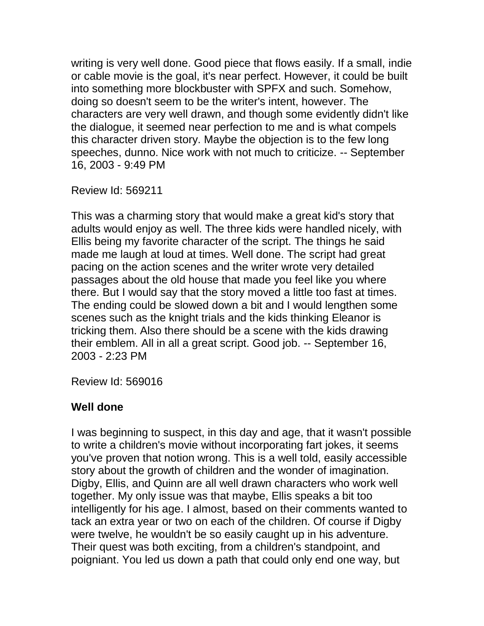writing is very well done. Good piece that flows easily. If a small, indie or cable movie is the goal, it's near perfect. However, it could be built into something more blockbuster with SPFX and such. Somehow, doing so doesn't seem to be the writer's intent, however. The characters are very well drawn, and though some evidently didn't like the dialogue, it seemed near perfection to me and is what compels this character driven story. Maybe the objection is to the few long speeches, dunno. Nice work with not much to criticize. -- September 16, 2003 - 9:49 PM

Review Id: 569211

This was a charming story that would make a great kid's story that adults would enjoy as well. The three kids were handled nicely, with Ellis being my favorite character of the script. The things he said made me laugh at loud at times. Well done. The script had great pacing on the action scenes and the writer wrote very detailed passages about the old house that made you feel like you where there. But I would say that the story moved a little too fast at times. The ending could be slowed down a bit and I would lengthen some scenes such as the knight trials and the kids thinking Eleanor is tricking them. Also there should be a scene with the kids drawing their emblem. All in all a great script. Good job. -- September 16, 2003 - 2:23 PM

Review Id: 569016

### **Well done**

I was beginning to suspect, in this day and age, that it wasn't possible to write a children's movie without incorporating fart jokes, it seems you've proven that notion wrong. This is a well told, easily accessible story about the growth of children and the wonder of imagination. Digby, Ellis, and Quinn are all well drawn characters who work well together. My only issue was that maybe, Ellis speaks a bit too intelligently for his age. I almost, based on their comments wanted to tack an extra year or two on each of the children. Of course if Digby were twelve, he wouldn't be so easily caught up in his adventure. Their quest was both exciting, from a children's standpoint, and poigniant. You led us down a path that could only end one way, but